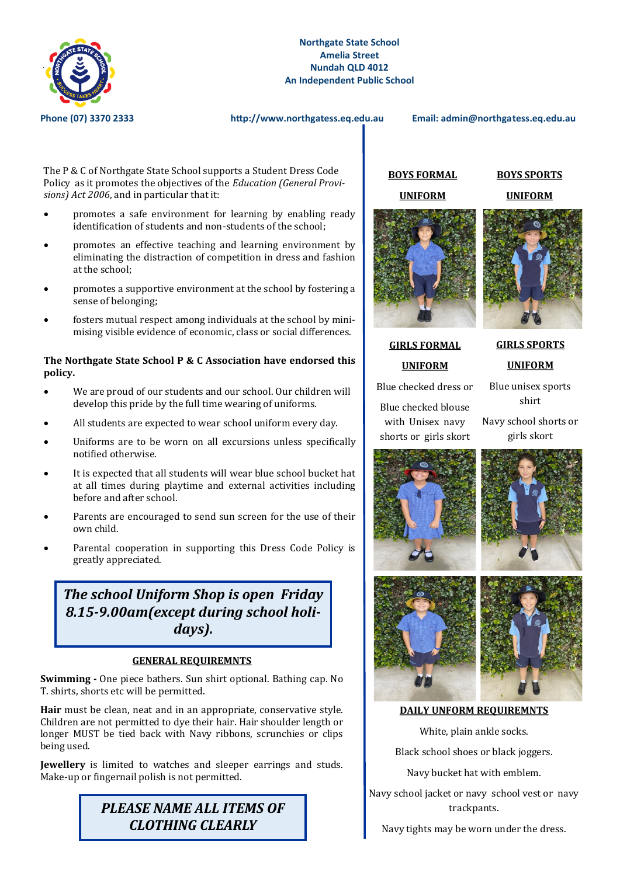

**Phone (07) 3370 2333 http://www.northgatess.eq.edu.au Email: admin@northgatess.eq.edu.au**

The P & C of Northgate State School supports a Student Dress Code Policy as it promotes the objectives of the *Education (General Provisions) Act 2006*, and in particular that it:

- promotes a safe environment for learning by enabling ready identification of students and non-students of the school;
- promotes an effective teaching and learning environment by eliminating the distraction of competition in dress and fashion at the school;
- promotes a supportive environment at the school by fostering a sense of belonging;
- fosters mutual respect among individuals at the school by minimising visible evidence of economic, class or social differences.

#### **The Northgate State School P & C Association have endorsed this policy.**

- We are proud of our students and our school. Our children will develop this pride by the full time wearing of uniforms.
- All students are expected to wear school uniform every day.
- Uniforms are to be worn on all excursions unless specifically notified otherwise.
- It is expected that all students will wear blue school bucket hat at all times during playtime and external activities including before and after school.
- Parents are encouraged to send sun screen for the use of their own child.
- Parental cooperation in supporting this Dress Code Policy is greatly appreciated.

# *The school Uniform Shop is open Friday 8.15-9.00am(except during school holidays).*

#### **GENERAL REQUIREMNTS**

**Swimming -** One piece bathers. Sun shirt optional. Bathing cap. No T. shirts, shorts etc will be permitted.

**Hair** must be clean, neat and in an appropriate, conservative style. Children are not permitted to dye their hair. Hair shoulder length or longer MUST be tied back with Navy ribbons, scrunchies or clips being used.

**Jewellery** is limited to watches and sleeper earrings and studs. Make-up or fingernail polish is not permitted.



### **BOYS FORMAL UNIFORM**

### **BOYS SPORTS UNIFORM**



## **GIRLS FORMAL UNIFORM**

Blue checked dress or

Blue checked blouse with Unisex navy shorts or girls skort Blue unisex sports shirt

**GIRLS SPORTS** 

**UNIFORM**

Navy school shorts or girls skort









#### **DAILY UNFORM REQUIREMNTS**

White, plain ankle socks.

Black school shoes or black joggers.

Navy bucket hat with emblem.

Navy school jacket or navy school vest or navy trackpants.

Navy tights may be worn under the dress.